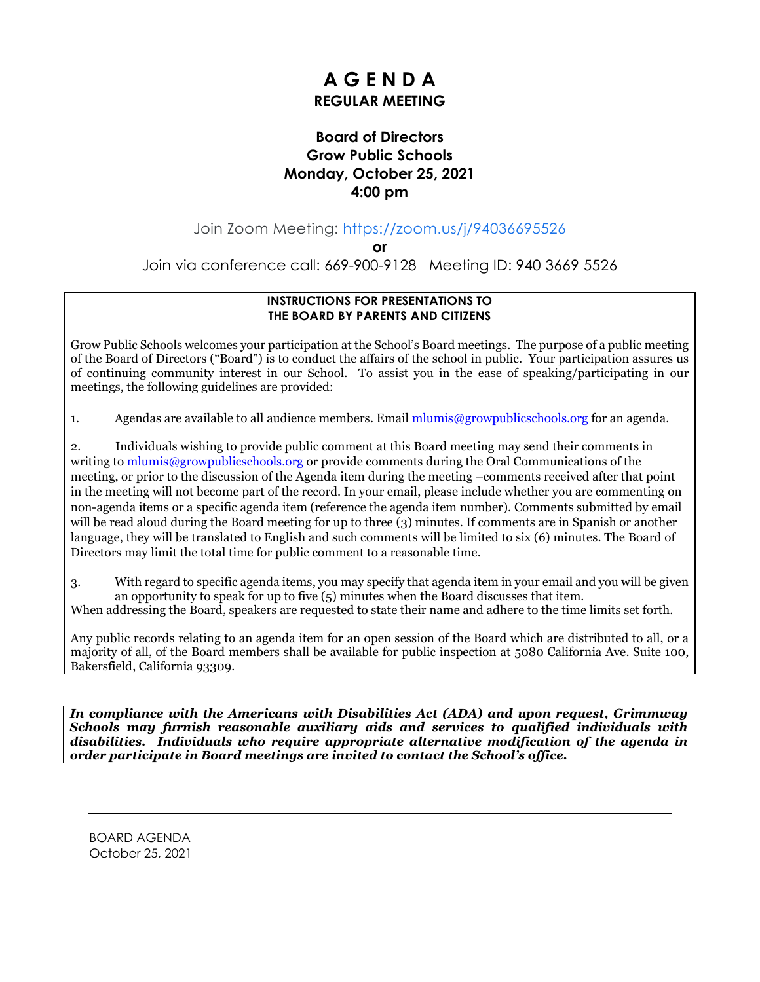## **A G E N D A REGULAR MEETING**

#### **Board of Directors Grow Public Schools Monday, October 25, 2021 4:00 pm**

Join Zoom Meeting: [https://zoom.us/j/94036695526](https://www.google.com/url?q=https://zoom.us/j/94036695526&sa=D&source=calendar&ust=1635315551847559&usg=AOvVaw0wXfDDCsV25LU86O06hmUl)

**or**

Join via conference call: 669-900-9128 Meeting ID: 940 3669 5526

#### **INSTRUCTIONS FOR PRESENTATIONS TO THE BOARD BY PARENTS AND CITIZENS**

Grow Public Schools welcomes your participation at the School's Board meetings. The purpose of a public meeting of the Board of Directors ("Board") is to conduct the affairs of the school in public. Your participation assures us of continuing community interest in our School. To assist you in the ease of speaking/participating in our meetings, the following guidelines are provided:

1. Agendas are available to all audience members. Email mlumis  $@growpublic schools.org$  for an agenda.

2. Individuals wishing to provide public comment at this Board meeting may send their comments in writing to [mlumis@growpublicschools.org](mailto:mlumis@growpublicschools.org) or provide comments during the Oral Communications of the meeting, or prior to the discussion of the Agenda item during the meeting –comments received after that point in the meeting will not become part of the record. In your email, please include whether you are commenting on non-agenda items or a specific agenda item (reference the agenda item number). Comments submitted by email will be read aloud during the Board meeting for up to three (3) minutes. If comments are in Spanish or another language, they will be translated to English and such comments will be limited to six (6) minutes. The Board of Directors may limit the total time for public comment to a reasonable time.

3. With regard to specific agenda items, you may specify that agenda item in your email and you will be given an opportunity to speak for up to five (5) minutes when the Board discusses that item.

When addressing the Board, speakers are requested to state their name and adhere to the time limits set forth.

Any public records relating to an agenda item for an open session of the Board which are distributed to all, or a majority of all, of the Board members shall be available for public inspection at 5080 California Ave. Suite 100, Bakersfield, California 93309.

*In compliance with the Americans with Disabilities Act (ADA) and upon request, Grimmway Schools may furnish reasonable auxiliary aids and services to qualified individuals with disabilities. Individuals who require appropriate alternative modification of the agenda in order participate in Board meetings are invited to contact the School's office.*

BOARD AGENDA October 25, 2021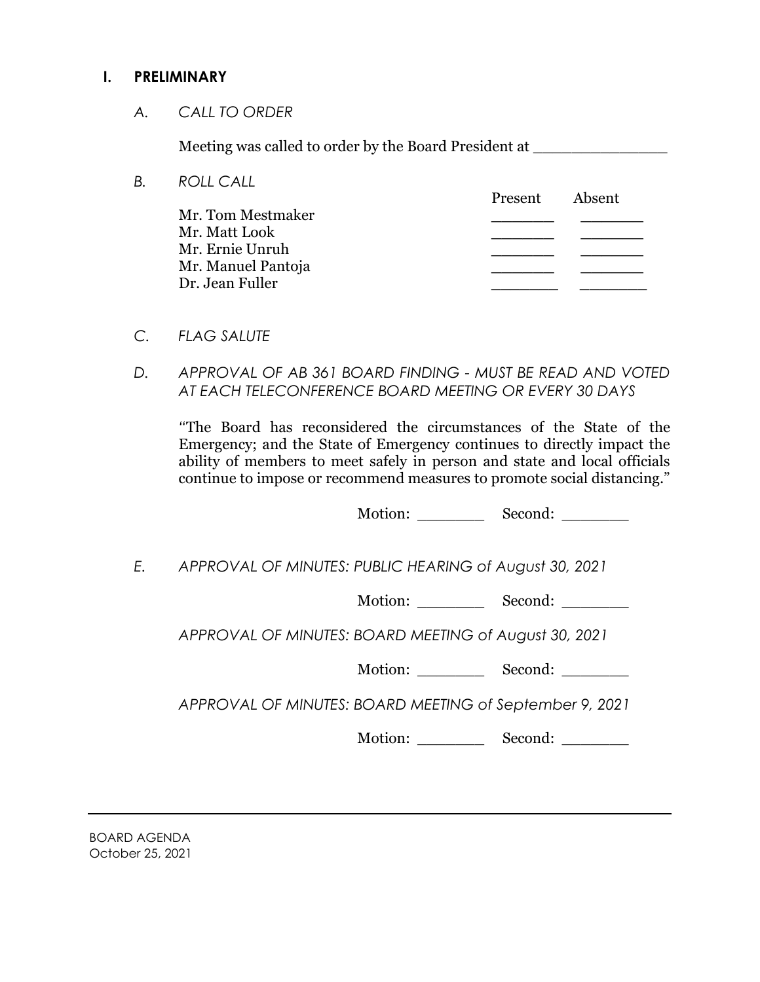#### **I. PRELIMINARY**

*A. CALL TO ORDER*

Meeting was called to order by the Board President at

| B. | <b>ROLL CALL</b>   |         |        |
|----|--------------------|---------|--------|
|    |                    | Present | Absent |
|    | Mr. Tom Mestmaker  |         |        |
|    | Mr. Matt Look      |         |        |
|    | Mr. Ernie Unruh    |         |        |
|    | Mr. Manuel Pantoja |         |        |
|    | Dr. Jean Fuller    |         |        |
|    |                    |         |        |

- *C. FLAG SALUTE*
- *D. APPROVAL OF AB 361 BOARD FINDING - MUST BE READ AND VOTED AT EACH TELECONFERENCE BOARD MEETING OR EVERY 30 DAYS*

*"*The Board has reconsidered the circumstances of the State of the Emergency; and the State of Emergency continues to directly impact the ability of members to meet safely in person and state and local officials continue to impose or recommend measures to promote social distancing."

Motion: \_\_\_\_\_\_\_ Second: \_\_\_\_\_\_\_

*E. APPROVAL OF MINUTES: PUBLIC HEARING of August 30, 2021* 

Motion: Second:

*APPROVAL OF MINUTES: BOARD MEETING of August 30, 2021*

Motion: \_\_\_\_\_\_\_\_\_\_\_\_ Second: \_\_\_\_\_\_\_\_

*APPROVAL OF MINUTES: BOARD MEETING of September 9, 2021*

Motion: \_\_\_\_\_\_\_ Second: \_\_\_\_\_\_\_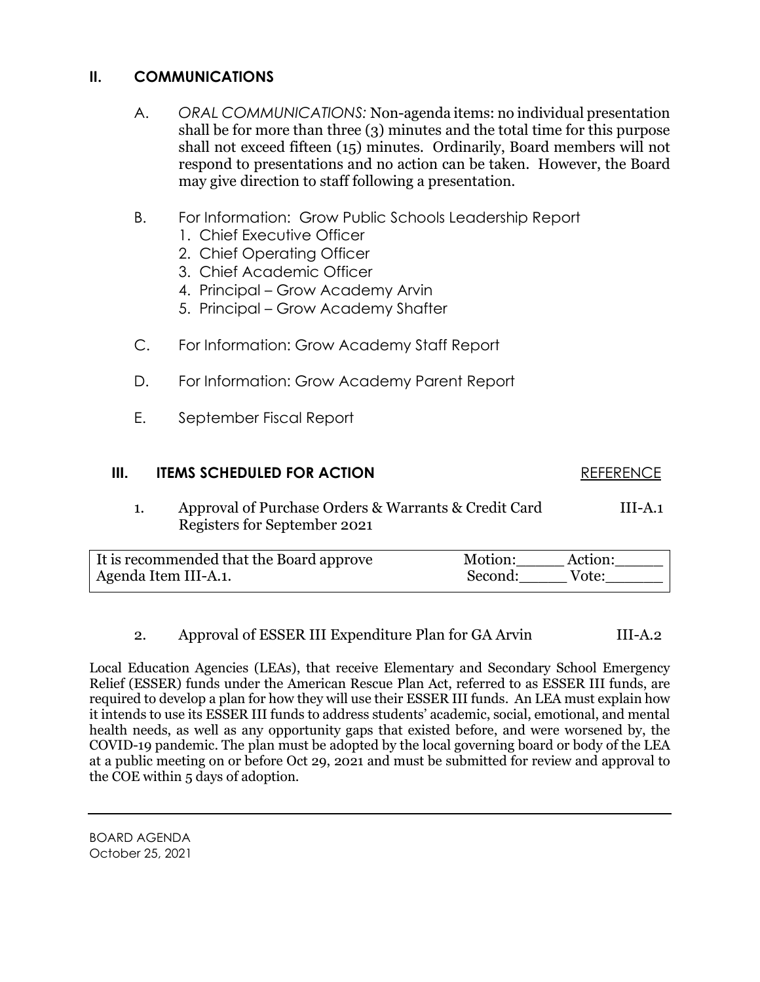## **II. COMMUNICATIONS**

- A. *ORAL COMMUNICATIONS:* Non-agenda items: no individual presentation shall be for more than three (3) minutes and the total time for this purpose shall not exceed fifteen (15) minutes. Ordinarily, Board members will not respond to presentations and no action can be taken. However, the Board may give direction to staff following a presentation.
- B. For Information: Grow Public Schools Leadership Report
	- 1. Chief Executive Officer
	- 2. Chief Operating Officer
	- 3. Chief Academic Officer
	- 4. Principal Grow Academy Arvin
	- 5. Principal Grow Academy Shafter
- C. For Information: Grow Academy Staff Report
- D. For Information: Grow Academy Parent Report
- E. September Fiscal Report

# **III. ITEMS SCHEDULED FOR ACTION REFERENCE** 1. Approval of Purchase Orders & Warrants & Credit Card III-A.1 Registers for September 2021

| It is recommended that the Board approve | Motion:<br>Action: |
|------------------------------------------|--------------------|
| Agenda Item III-A.1.                     | Second:<br>Vote:   |

### 2. Approval of ESSER III Expenditure Plan for GA Arvin III-A.2

Local Education Agencies (LEAs), that receive Elementary and Secondary School Emergency Relief (ESSER) funds under the American Rescue Plan Act, referred to as ESSER III funds, are required to develop a plan for how they will use their ESSER III funds. An LEA must explain how it intends to use its ESSER III funds to address students' academic, social, emotional, and mental health needs, as well as any opportunity gaps that existed before, and were worsened by, the COVID-19 pandemic. The plan must be adopted by the local governing board or body of the LEA at a public meeting on or before Oct 29, 2021 and must be submitted for review and approval to the COE within 5 days of adoption.